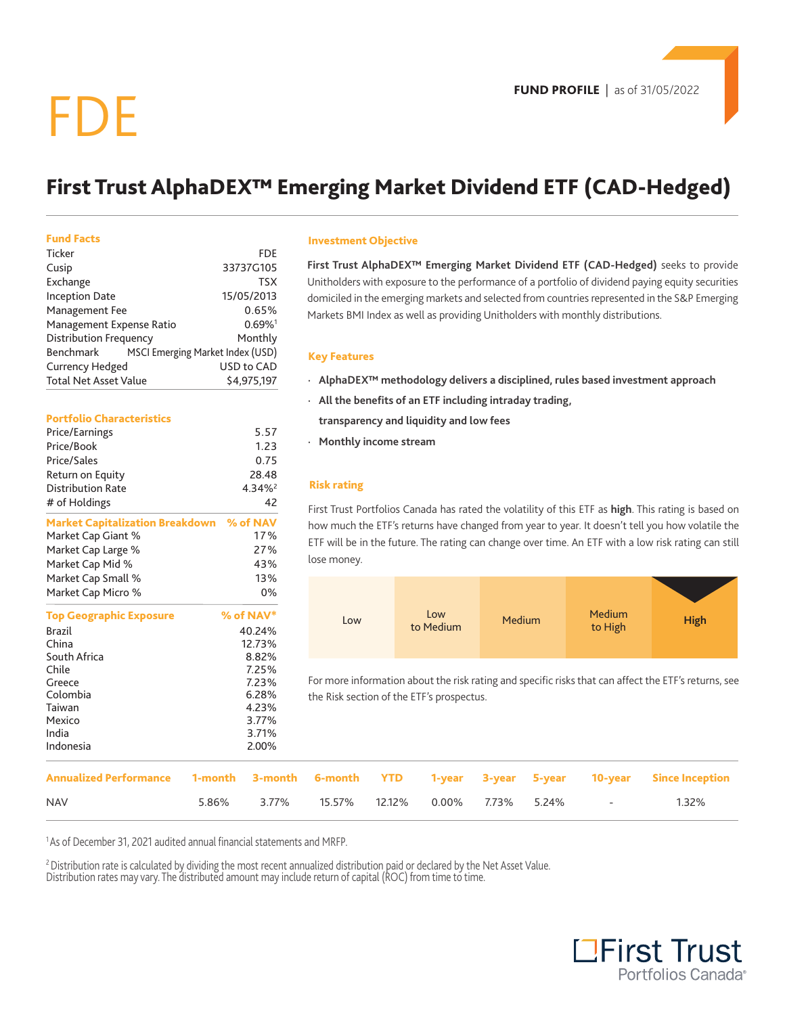# FDE

## **First Trust AlphaDEX™ Emerging Market Dividend ETF (CAD-Hedged)**

#### **Fund Facts**

| Ticker                                        | FDF                   |
|-----------------------------------------------|-----------------------|
| Cusip                                         | 33737G105             |
| Exchange                                      | <b>TSX</b>            |
| <b>Inception Date</b>                         | 15/05/2013            |
| Management Fee                                | 0.65%                 |
| Management Expense Ratio                      | $0.69\%$ <sup>1</sup> |
| <b>Distribution Frequency</b>                 | Monthly               |
| MSCI Emerging Market Index (USD)<br>Benchmark |                       |
| <b>Currency Hedged</b>                        | USD to CAD            |
| <b>Total Net Asset Value</b>                  | \$4.975.197           |

#### **Portfolio Characteristics**

| Price/Earnings                                  | 5.57                  |
|-------------------------------------------------|-----------------------|
| Price/Book                                      | 1.23                  |
| Price/Sales                                     | 0.75                  |
| Return on Equity                                | 28.48                 |
| <b>Distribution Rate</b>                        | $4.34\%$ <sup>2</sup> |
| # of Holdings                                   | 42                    |
| <b>Market Capitalization Breakdown</b> % of NAV |                       |
| Market Cap Giant %                              | 17%                   |
| Market Cap Large %                              | 27%                   |
| Market Cap Mid %                                | 43%                   |
| Market Cap Small %                              | 13%                   |
| Market Cap Micro %                              | 0%                    |
| <b>Top Geographic Exposure</b>                  | $%$ of NAV $*$        |
| <b>Brazil</b>                                   | 40.24%                |
| China                                           | 12.73%                |
| South Africa                                    | 8.82%                 |
| Chile                                           | 7.25%                 |
| Greece                                          | 7.23%                 |
| Colombia                                        | 6.28%                 |
| Taiwan                                          | 4.23%                 |
| Mexico                                          | 3.77%                 |
| India                                           | 3.71%                 |
| Indonesia                                       | 2.00%                 |
|                                                 |                       |

#### **Investment Objective**

**First Trust AlphaDEX™ Emerging Market Dividend ETF (CAD-Hedged)** seeks to provide Unitholders with exposure to the performance of a portfolio of dividend paying equity securities domiciled in the emerging markets and selected from countries represented in the S&P Emerging Markets BMI Index as well as providing Unitholders with monthly distributions.

#### **Key Features**

- **· AlphaDEX™ methodology delivers a disciplined, rules based investment approach**
- **· All the benefits of an ETF including intraday trading,** 
	- **transparency and liquidity and low fees**
- **· Monthly income stream**

### **Risk rating**

First Trust Portfolios Canada has rated the volatility of this ETF as **high**. This rating is based on how much the ETF's returns have changed from year to year. It doesn't tell you how volatile the ETF will be in the future. The rating can change over time. An ETF with a low risk rating can still lose money.



For more information about the risk rating and specific risks that can affect the ETF's returns, see the Risk section of the ETF's prospectus.

| ----------                                                                                      |       | <u>L.v.z</u> |  |  |                                   |       |
|-------------------------------------------------------------------------------------------------|-------|--------------|--|--|-----------------------------------|-------|
| Annualized Performance 1-month 3-month 6-month YTD 1-year 3-year 5-year 10-year Since Inception |       |              |  |  |                                   |       |
| <b>NAV</b>                                                                                      | 5.86% | 3.77%        |  |  | 15.57% 12.12% 0.00% 7.73% 5.24% - | 1.32% |

<sup>1</sup> As of December 31, 2021 audited annual financial statements and MRFP.

<sup>2</sup> Distribution rate is calculated by dividing the most recent annualized distribution paid or declared by the Net Asset Value. Distribution rates may vary. The distributed amount may include return of capital (ROC) from time to time.